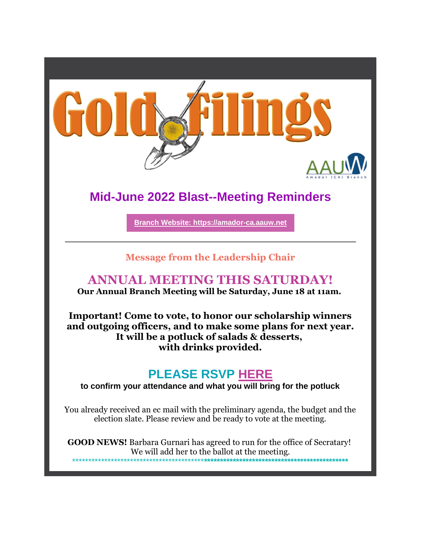

# **Mid-June 2022 Blast--Meeting Reminders**

Branch Website: https://amador-ca.aauw.net

## **Message from the Leadership Chair**

## **ANNUAL MEETING THIS SATURDAY!**

Our Annual Branch Meeting will be Saturday, June 18 at 11am.

Important! Come to vote, to honor our scholarship winners and outgoing officers, and to make some plans for next year. It will be a potluck of salads & desserts, with drinks provided.

# **PLEASE RSVP HERE**

to confirm your attendance and what you will bring for the potluck

You already received an ec mail with the preliminary agenda, the budget and the election slate. Please review and be ready to vote at the meeting.

**GOOD NEWS!** Barbara Gurnari has agreed to run for the office of Secratary! We will add her to the ballot at the meeting.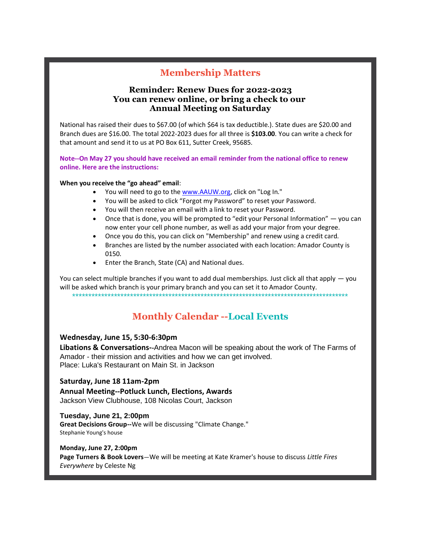## **Membership Matters**

#### **Reminder: Renew Dues for 2022-2023 You can renew online, or bring a check to our Annual Meeting on Saturday**

National has raised their dues to \$67.00 (of which \$64 is tax deductible.). State dues are \$20.00 and Branch dues are \$16.00. The total 2022-2023 dues for all three is **\$103.00**. You can write a check for that amount and send it to us at PO Box 611, Sutter Creek, 95685.

**Note--On May 27 you should have received an email reminder from the national office to renew online. Here are the instructions:**

#### **When you receive the "go ahead" email**:

- You will need to go to the www.AAUW.org, click on "Log In."
- You will be asked to click "Forgot my Password" to reset your Password.
- You will then receive an email with a link to reset your Password.
- Once that is done, you will be prompted to "edit your Personal Information" you can now enter your cell phone number, as well as add your major from your degree.
- Once you do this, you can click on "Membership" and renew using a credit card.
- Branches are listed by the number associated with each location: Amador County is 0150.
- Enter the Branch, State (CA) and National dues.

You can select multiple branches if you want to add dual memberships. Just click all that apply — you will be asked which branch is your primary branch and you can set it to Amador County. \*\*\*\*\*\*\*\*\*\*\*\*\*\*\*\*\*\*\*\*\*\*\*\*\*\*\*\*\*\*\*\*\*\*\*\*\*\*\*\*\*\*\*\*\*\*\*\*\*\*\*\*\*\*\*\*\*\*\*\*\*\*\*\*\*\*\*\*\*\*\*\*\*\*\*\*\*\*\*\*\*\*\*\*\*\*

## **Monthly Calendar --Local Events**

#### **Wednesday, June 15, 5:30-6:30pm**

**Libations & Conversations--**Andrea Macon will be speaking about the work of The Farms of Amador - their mission and activities and how we can get involved. Place: Luka's Restaurant on Main St. in Jackson

#### **Saturday, June 18 11am-2pm**

**Annual Meeting--Potluck Lunch, Elections, Awards** Jackson View Clubhouse, 108 Nicolas Court, Jackson

#### **Tuesday, June 21, 2:00pm Great Decisions Group--**We will be discussing "Climate Change." Stephanie Young's house

#### **Monday, June 27, 2:00pm**

**Page Turners & Book Lovers**—We will be meeting at Kate Kramer's house to discuss *Little Fires Everywhere* by Celeste Ng